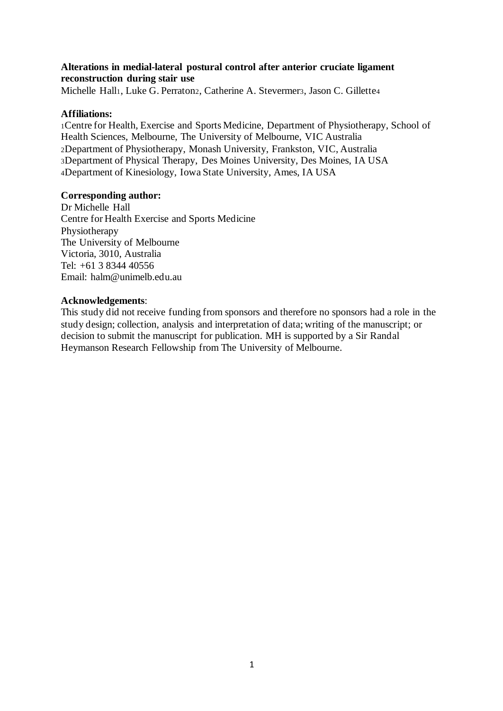# **Alterations in medial-lateral postural control after anterior cruciate ligament reconstruction during stair use**

Michelle Hall1, Luke G. Perraton2, Catherine A. Stevermer3, Jason C. Gillette4

# **Affiliations:**

Centre for Health, Exercise and Sports Medicine, Department of Physiotherapy, School of Health Sciences, Melbourne, The University of Melbourne, VIC Australia Department of Physiotherapy, Monash University, Frankston, VIC, Australia Department of Physical Therapy, Des Moines University, Des Moines, IA USA Department of Kinesiology, Iowa State University, Ames, IA USA

# **Corresponding author:**

Dr Michelle Hall Centre for Health Exercise and Sports Medicine Physiotherapy The University of Melbourne Victoria, 3010, Australia Tel: +61 3 8344 40556 Email: halm@unimelb.edu.au

### **Acknowledgements**:

This study did not receive funding from sponsors and therefore no sponsors had a role in the study design; collection, analysis and interpretation of data; writing of the manuscript; or decision to submit the manuscript for publication. MH is supported by a Sir Randal Heymanson Research Fellowship from The University of Melbourne.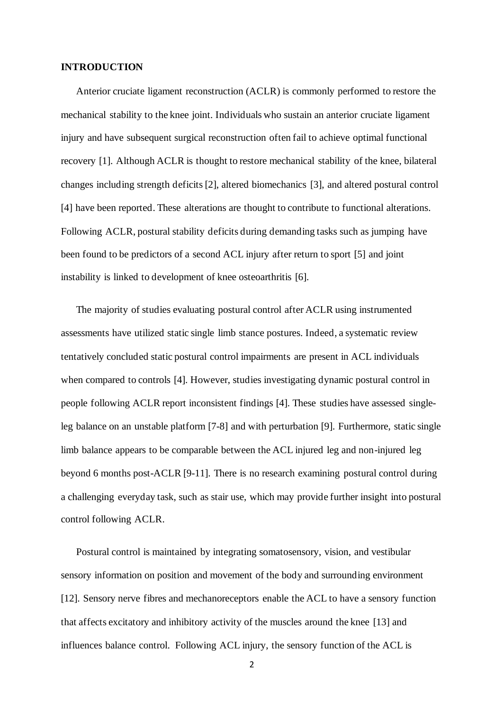### **INTRODUCTION**

Anterior cruciate ligament reconstruction (ACLR) is commonly performed to restore the mechanical stability to the knee joint. Individuals who sustain an anterior cruciate ligament injury and have subsequent surgical reconstruction often fail to achieve optimal functional recovery [1]. Although ACLR is thought to restore mechanical stability of the knee, bilateral changes including strength deficits [2], altered biomechanics [3], and altered postural control [4] have been reported. These alterations are thought to contribute to functional alterations. Following ACLR, postural stability deficits during demanding tasks such as jumping have been found to be predictors of a second ACL injury after return to sport [5] and joint instability is linked to development of knee osteoarthritis [6].

The majority of studies evaluating postural control after ACLR using instrumented assessments have utilized static single limb stance postures. Indeed, a systematic review tentatively concluded static postural control impairments are present in ACL individuals when compared to controls [4]. However, studies investigating dynamic postural control in people following ACLR report inconsistent findings [4]. These studies have assessed singleleg balance on an unstable platform [7-8] and with perturbation [9]. Furthermore, static single limb balance appears to be comparable between the ACL injured leg and non-injured leg beyond 6 months post-ACLR [9-11]. There is no research examining postural control during a challenging everyday task, such as stair use, which may provide further insight into postural control following ACLR.

Postural control is maintained by integrating somatosensory, vision, and vestibular sensory information on position and movement of the body and surrounding environment [12]. Sensory nerve fibres and mechanoreceptors enable the ACL to have a sensory function that affects excitatory and inhibitory activity of the muscles around the knee [13] and influences balance control. Following ACL injury, the sensory function of the ACL is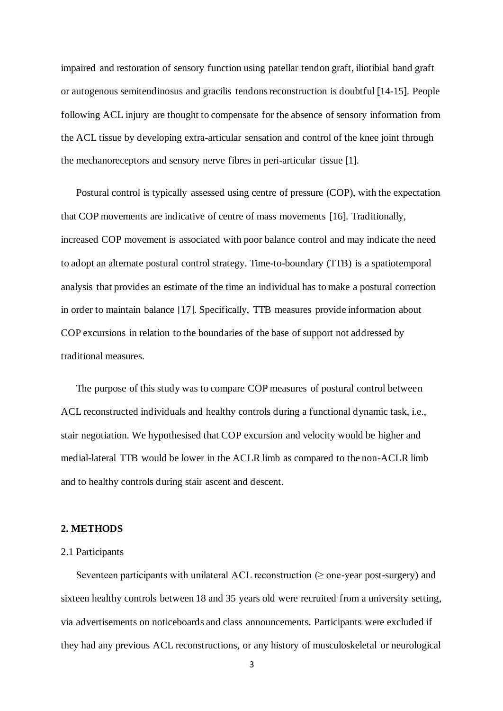impaired and restoration of sensory function using patellar tendon graft, iliotibial band graft or autogenous semitendinosus and gracilis tendons reconstruction is doubtful [14-15]. People following ACL injury are thought to compensate for the absence of sensory information from the ACL tissue by developing extra-articular sensation and control of the knee joint through the mechanoreceptors and sensory nerve fibres in peri-articular tissue [1].

Postural control is typically assessed using centre of pressure (COP), with the expectation that COP movements are indicative of centre of mass movements [16]. Traditionally, increased COP movement is associated with poor balance control and may indicate the need to adopt an alternate postural control strategy. Time-to-boundary (TTB) is a spatiotemporal analysis that provides an estimate of the time an individual has to make a postural correction in order to maintain balance [17]. Specifically, TTB measures provide information about COP excursions in relation to the boundaries of the base of support not addressed by traditional measures.

The purpose of this study was to compare COP measures of postural control between ACL reconstructed individuals and healthy controls during a functional dynamic task, i.e., stair negotiation. We hypothesised that COP excursion and velocity would be higher and medial-lateral TTB would be lower in the ACLR limb as compared to the non-ACLR limb and to healthy controls during stair ascent and descent.

### **2. METHODS**

#### 2.1 Participants

Seventeen participants with unilateral ACL reconstruction  $(\geq)$  one-year post-surgery) and sixteen healthy controls between 18 and 35 years old were recruited from a university setting, via advertisements on noticeboards and class announcements. Participants were excluded if they had any previous ACL reconstructions, or any history of musculoskeletal or neurological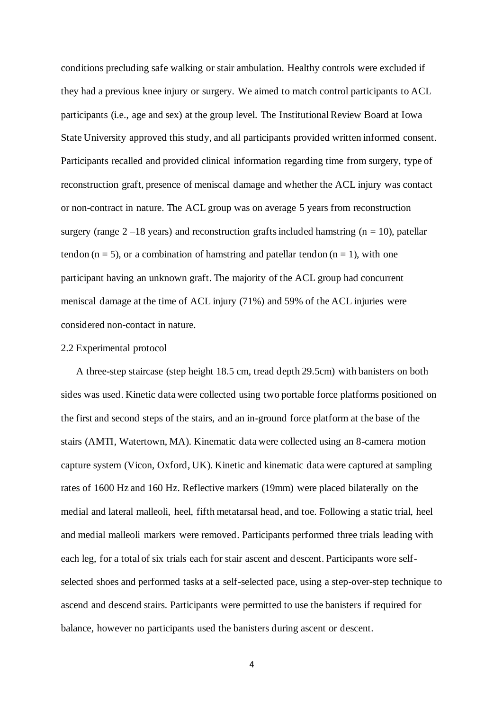conditions precluding safe walking or stair ambulation. Healthy controls were excluded if they had a previous knee injury or surgery. We aimed to match control participants to ACL participants (i.e., age and sex) at the group level. The Institutional Review Board at Iowa State University approved this study, and all participants provided written informed consent. Participants recalled and provided clinical information regarding time from surgery, type of reconstruction graft, presence of meniscal damage and whether the ACL injury was contact or non-contract in nature. The ACL group was on average 5 years from reconstruction surgery (range  $2-18$  years) and reconstruction grafts included hamstring (n = 10), patellar tendon ( $n = 5$ ), or a combination of hamstring and patellar tendon ( $n = 1$ ), with one participant having an unknown graft. The majority of the ACL group had concurrent meniscal damage at the time of ACL injury (71%) and 59% of the ACL injuries were considered non-contact in nature.

### 2.2 Experimental protocol

A three-step staircase (step height 18.5 cm, tread depth 29.5cm) with banisters on both sides was used. Kinetic data were collected using two portable force platforms positioned on the first and second steps of the stairs, and an in-ground force platform at the base of the stairs (AMTI, Watertown, MA). Kinematic data were collected using an 8-camera motion capture system (Vicon, Oxford, UK). Kinetic and kinematic data were captured at sampling rates of 1600 Hz and 160 Hz. Reflective markers (19mm) were placed bilaterally on the medial and lateral malleoli, heel, fifth metatarsal head, and toe. Following a static trial, heel and medial malleoli markers were removed. Participants performed three trials leading with each leg, for a total of six trials each for stair ascent and descent. Participants wore selfselected shoes and performed tasks at a self-selected pace, using a step-over-step technique to ascend and descend stairs. Participants were permitted to use the banisters if required for balance, however no participants used the banisters during ascent or descent.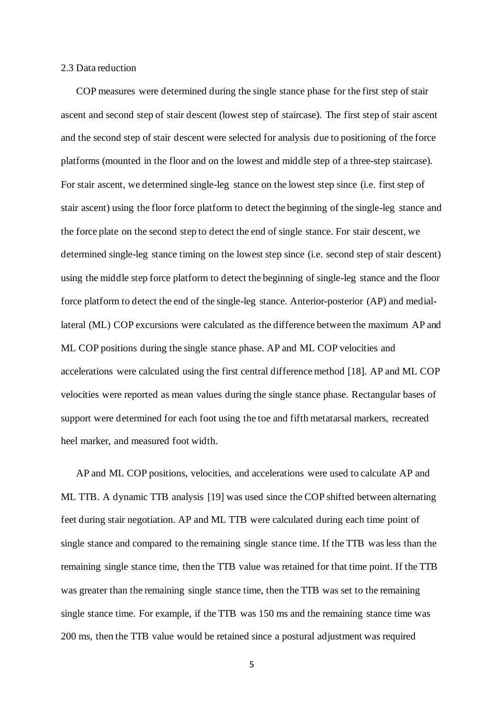# 2.3 Data reduction

COP measures were determined during the single stance phase for the first step of stair ascent and second step of stair descent (lowest step of staircase). The first step of stair ascent and the second step of stair descent were selected for analysis due to positioning of the force platforms (mounted in the floor and on the lowest and middle step of a three-step staircase). For stair ascent, we determined single-leg stance on the lowest step since (i.e. first step of stair ascent) using the floor force platform to detect the beginning of the single-leg stance and the force plate on the second step to detect the end of single stance. For stair descent, we determined single-leg stance timing on the lowest step since (i.e. second step of stair descent) using the middle step force platform to detect the beginning of single-leg stance and the floor force platform to detect the end of the single-leg stance. Anterior-posterior (AP) and mediallateral (ML) COP excursions were calculated as the difference between the maximum AP and ML COP positions during the single stance phase. AP and ML COP velocities and accelerations were calculated using the first central difference method [18]. AP and ML COP velocities were reported as mean values during the single stance phase. Rectangular bases of support were determined for each foot using the toe and fifth metatarsal markers, recreated heel marker, and measured foot width.

AP and ML COP positions, velocities, and accelerations were used to calculate AP and ML TTB. A dynamic TTB analysis [19] was used since the COP shifted between alternating feet during stair negotiation. AP and ML TTB were calculated during each time point of single stance and compared to the remaining single stance time. If the TTB was less than the remaining single stance time, then the TTB value was retained for that time point. If the TTB was greater than the remaining single stance time, then the TTB was set to the remaining single stance time. For example, if the TTB was 150 ms and the remaining stance time was 200 ms, then the TTB value would be retained since a postural adjustment was required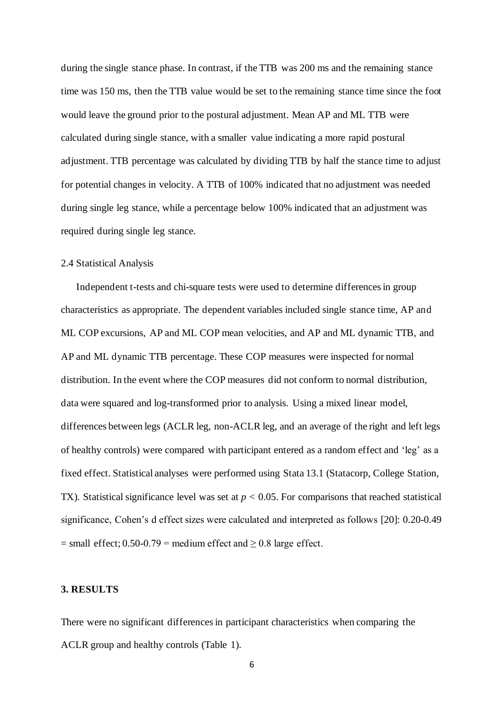during the single stance phase. In contrast, if the TTB was 200 ms and the remaining stance time was 150 ms, then the TTB value would be set to the remaining stance time since the foot would leave the ground prior to the postural adjustment. Mean AP and ML TTB were calculated during single stance, with a smaller value indicating a more rapid postural adjustment. TTB percentage was calculated by dividing TTB by half the stance time to adjust for potential changes in velocity. A TTB of 100% indicated that no adjustment was needed during single leg stance, while a percentage below 100% indicated that an adjustment was required during single leg stance.

#### 2.4 Statistical Analysis

Independent t-tests and chi-square tests were used to determine differences in group characteristics as appropriate. The dependent variables included single stance time, AP and ML COP excursions, AP and ML COP mean velocities, and AP and ML dynamic TTB, and AP and ML dynamic TTB percentage. These COP measures were inspected for normal distribution. In the event where the COP measures did not conform to normal distribution, data were squared and log-transformed prior to analysis. Using a mixed linear model, differences between legs (ACLR leg, non-ACLR leg, and an average of the right and left legs of healthy controls) were compared with participant entered as a random effect and 'leg' as a fixed effect. Statistical analyses were performed using Stata 13.1 (Statacorp, College Station, TX). Statistical significance level was set at  $p < 0.05$ . For comparisons that reached statistical significance, Cohen's d effect sizes were calculated and interpreted as follows [20]: 0.20-0.49  $=$  small effect; 0.50-0.79 = medium effect and  $\geq$  0.8 large effect.

# **3. RESULTS**

There were no significant differences in participant characteristics when comparing the ACLR group and healthy controls (Table 1).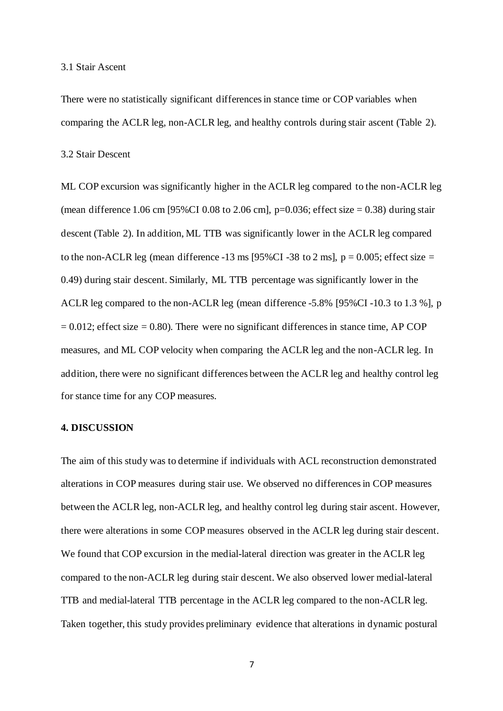### 3.1 Stair Ascent

There were no statistically significant differences in stance time or COP variables when comparing the ACLR leg, non-ACLR leg, and healthy controls during stair ascent (Table 2).

3.2 Stair Descent

ML COP excursion was significantly higher in the ACLR leg compared to the non-ACLR leg (mean difference 1.06 cm [95%CI 0.08 to 2.06 cm], p=0.036; effect size = 0.38) during stair descent (Table 2). In addition, ML TTB was significantly lower in the ACLR leg compared to the non-ACLR leg (mean difference -13 ms [95%CI -38 to 2 ms],  $p = 0.005$ ; effect size = 0.49) during stair descent. Similarly, ML TTB percentage was significantly lower in the ACLR leg compared to the non-ACLR leg (mean difference -5.8% [95%CI -10.3 to 1.3 %], p  $= 0.012$ ; effect size  $= 0.80$ ). There were no significant differences in stance time, AP COP measures, and ML COP velocity when comparing the ACLR leg and the non-ACLR leg. In addition, there were no significant differences between the ACLR leg and healthy control leg for stance time for any COP measures.

### **4. DISCUSSION**

The aim of this study was to determine if individuals with ACL reconstruction demonstrated alterations in COP measures during stair use. We observed no differences in COP measures between the ACLR leg, non-ACLR leg, and healthy control leg during stair ascent. However, there were alterations in some COP measures observed in the ACLR leg during stair descent. We found that COP excursion in the medial-lateral direction was greater in the ACLR leg compared to the non-ACLR leg during stair descent. We also observed lower medial-lateral TTB and medial-lateral TTB percentage in the ACLR leg compared to the non-ACLR leg. Taken together, this study provides preliminary evidence that alterations in dynamic postural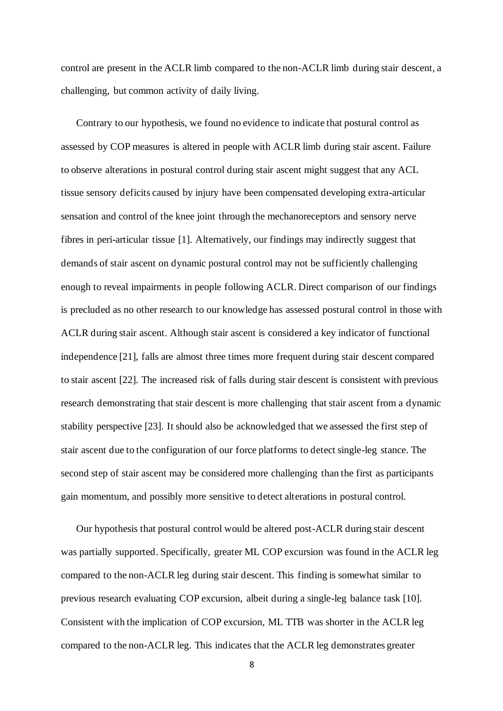control are present in the ACLR limb compared to the non-ACLR limb during stair descent, a challenging, but common activity of daily living.

Contrary to our hypothesis, we found no evidence to indicate that postural control as assessed by COP measures is altered in people with ACLR limb during stair ascent. Failure to observe alterations in postural control during stair ascent might suggest that any ACL tissue sensory deficits caused by injury have been compensated developing extra-articular sensation and control of the knee joint through the mechanoreceptors and sensory nerve fibres in peri-articular tissue [1]. Alternatively, our findings may indirectly suggest that demands of stair ascent on dynamic postural control may not be sufficiently challenging enough to reveal impairments in people following ACLR. Direct comparison of our findings is precluded as no other research to our knowledge has assessed postural control in those with ACLR during stair ascent. Although stair ascent is considered a key indicator of functional independence [21], falls are almost three times more frequent during stair descent compared to stair ascent [22]. The increased risk of falls during stair descent is consistent with previous research demonstrating that stair descent is more challenging that stair ascent from a dynamic stability perspective [23]. It should also be acknowledged that we assessed the first step of stair ascent due to the configuration of our force platforms to detect single-leg stance. The second step of stair ascent may be considered more challenging than the first as participants gain momentum, and possibly more sensitive to detect alterations in postural control.

Our hypothesis that postural control would be altered post-ACLR during stair descent was partially supported. Specifically, greater ML COP excursion was found in the ACLR leg compared to the non-ACLR leg during stair descent. This finding is somewhat similar to previous research evaluating COP excursion, albeit during a single-leg balance task [10]. Consistent with the implication of COP excursion, ML TTB was shorter in the ACLR leg compared to the non-ACLR leg. This indicates that the ACLR leg demonstrates greater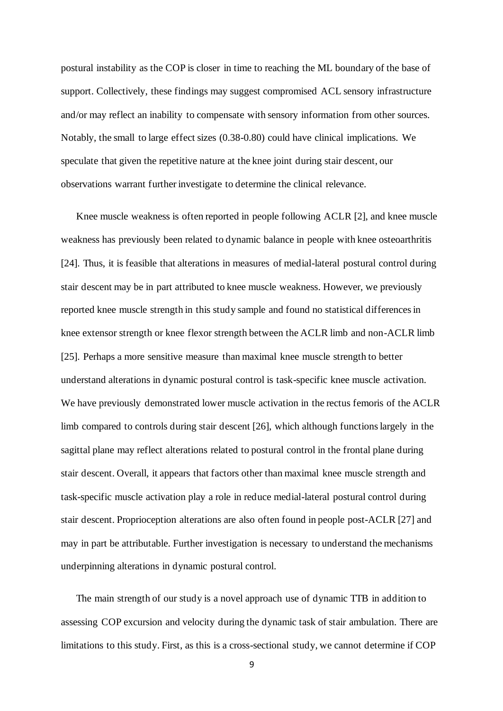postural instability as the COP is closer in time to reaching the ML boundary of the base of support. Collectively, these findings may suggest compromised ACL sensory infrastructure and/or may reflect an inability to compensate with sensory information from other sources. Notably, the small to large effect sizes (0.38-0.80) could have clinical implications. We speculate that given the repetitive nature at the knee joint during stair descent, our observations warrant further investigate to determine the clinical relevance.

Knee muscle weakness is often reported in people following ACLR [2], and knee muscle weakness has previously been related to dynamic balance in people with knee osteoarthritis [24]. Thus, it is feasible that alterations in measures of medial-lateral postural control during stair descent may be in part attributed to knee muscle weakness. However, we previously reported knee muscle strength in this study sample and found no statistical differences in knee extensor strength or knee flexor strength between the ACLR limb and non-ACLR limb [25]. Perhaps a more sensitive measure than maximal knee muscle strength to better understand alterations in dynamic postural control is task-specific knee muscle activation. We have previously demonstrated lower muscle activation in the rectus femoris of the ACLR limb compared to controls during stair descent [26], which although functions largely in the sagittal plane may reflect alterations related to postural control in the frontal plane during stair descent. Overall, it appears that factors other than maximal knee muscle strength and task-specific muscle activation play a role in reduce medial-lateral postural control during stair descent. Proprioception alterations are also often found in people post-ACLR [27] and may in part be attributable. Further investigation is necessary to understand the mechanisms underpinning alterations in dynamic postural control.

The main strength of our study is a novel approach use of dynamic TTB in addition to assessing COP excursion and velocity during the dynamic task of stair ambulation. There are limitations to this study. First, as this is a cross-sectional study, we cannot determine if COP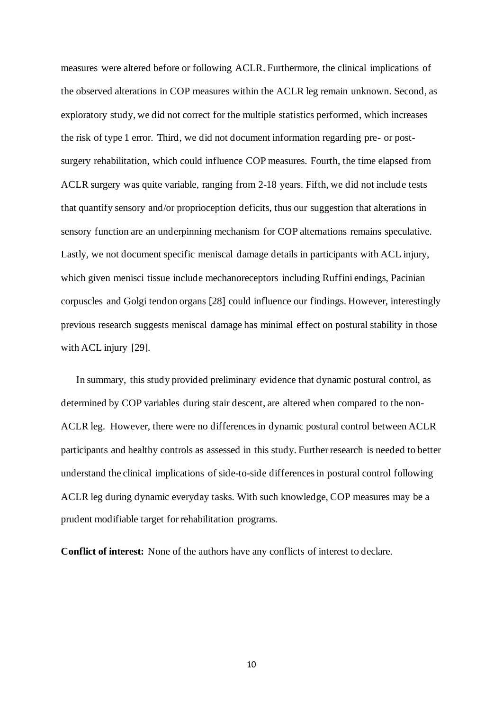measures were altered before or following ACLR. Furthermore, the clinical implications of the observed alterations in COP measures within the ACLR leg remain unknown. Second, as exploratory study, we did not correct for the multiple statistics performed, which increases the risk of type 1 error. Third, we did not document information regarding pre- or postsurgery rehabilitation, which could influence COP measures. Fourth, the time elapsed from ACLR surgery was quite variable, ranging from 2-18 years. Fifth, we did not include tests that quantify sensory and/or proprioception deficits, thus our suggestion that alterations in sensory function are an underpinning mechanism for COP alternations remains speculative. Lastly, we not document specific meniscal damage details in participants with ACL injury, which given menisci tissue include mechanoreceptors including Ruffini endings, Pacinian corpuscles and Golgi tendon organs [28] could influence our findings. However, interestingly previous research suggests meniscal damage has minimal effect on postural stability in those with ACL injury [29].

In summary, this study provided preliminary evidence that dynamic postural control, as determined by COP variables during stair descent, are altered when compared to the non-ACLR leg. However, there were no differences in dynamic postural control between ACLR participants and healthy controls as assessed in this study. Further research is needed to better understand the clinical implications of side-to-side differences in postural control following ACLR leg during dynamic everyday tasks. With such knowledge, COP measures may be a prudent modifiable target for rehabilitation programs.

**Conflict of interest:** None of the authors have any conflicts of interest to declare.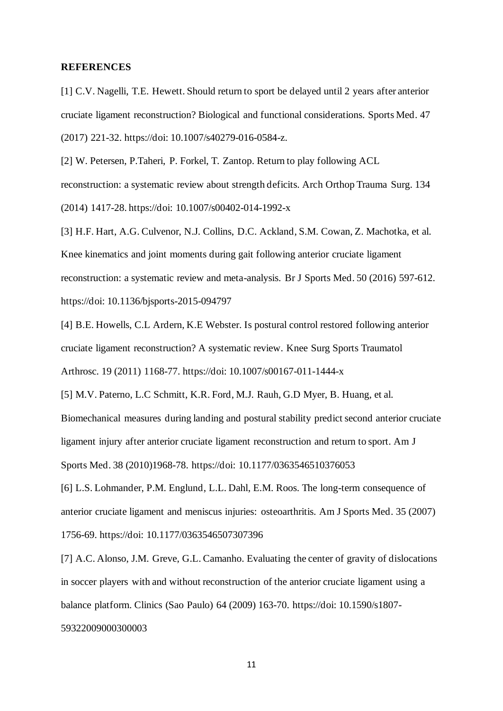#### **REFERENCES**

[1] C.V. Nagelli, T.E. Hewett. Should return to sport be delayed until 2 years after anterior cruciate ligament reconstruction? Biological and functional considerations. Sports Med. 47 (2017) 221-32. https://doi: 10.1007/s40279-016-0584-z.

[2] W. Petersen, P.Taheri, P. Forkel, T. Zantop. Return to play following ACL reconstruction: a systematic review about strength deficits. Arch Orthop Trauma Surg. 134 (2014) 1417-28. https://doi: 10.1007/s00402-014-1992-x

[3] H.F. Hart, A.G. Culvenor, N.J. Collins, D.C. Ackland, S.M. Cowan, Z. Machotka, et al. Knee kinematics and joint moments during gait following anterior cruciate ligament reconstruction: a systematic review and meta-analysis. Br J Sports Med. 50 (2016) 597-612. https://doi: 10.1136/bjsports-2015-094797

[4] B.E. Howells, C.L Ardern, K.E Webster. Is postural control restored following anterior cruciate ligament reconstruction? A systematic review. Knee Surg Sports Traumatol Arthrosc. 19 (2011) 1168-77. https://doi: 10.1007/s00167-011-1444-x

[5] M.V. Paterno, L.C Schmitt, K.R. Ford, M.J. Rauh, G.D Myer, B. Huang, et al. Biomechanical measures during landing and postural stability predict second anterior cruciate ligament injury after anterior cruciate ligament reconstruction and return to sport. Am J Sports Med. 38 (2010)1968-78. https://doi: 10.1177/0363546510376053

[6] L.S. Lohmander, P.M. Englund, L.L. Dahl, E.M. Roos. The long-term consequence of anterior cruciate ligament and meniscus injuries: osteoarthritis. Am J Sports Med. 35 (2007) 1756-69. https://doi: 10.1177/0363546507307396

[7] A.C. Alonso, J.M. Greve, G.L. Camanho. Evaluating the center of gravity of dislocations in soccer players with and without reconstruction of the anterior cruciate ligament using a balance platform. Clinics (Sao Paulo) 64 (2009) 163-70. https://doi: 10.1590/s1807- 59322009000300003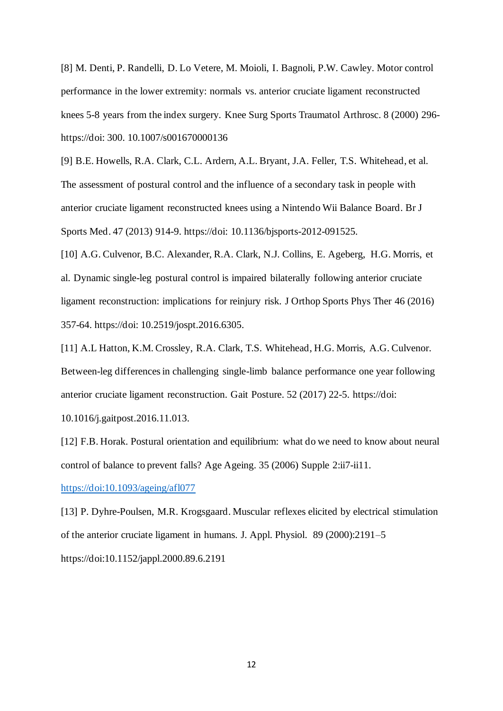[8] M. Denti, P. Randelli, D. Lo Vetere, M. Moioli, I. Bagnoli, P.W. Cawley. Motor control performance in the lower extremity: normals vs. anterior cruciate ligament reconstructed knees 5-8 years from the index surgery. Knee Surg Sports Traumatol Arthrosc. 8 (2000) 296 https://doi: 300. 10.1007/s001670000136

[9] B.E. Howells, R.A. Clark, C.L. Ardern, A.L. Bryant, J.A. Feller, T.S. Whitehead, et al. The assessment of postural control and the influence of a secondary task in people with anterior cruciate ligament reconstructed knees using a Nintendo Wii Balance Board. Br J Sports Med. 47 (2013) 914-9. https://doi: 10.1136/bjsports-2012-091525.

[10] A.G. Culvenor, B.C. Alexander, R.A. Clark, N.J. Collins, E. Ageberg, H.G. Morris, et al. Dynamic single-leg postural control is impaired bilaterally following anterior cruciate ligament reconstruction: implications for reinjury risk. J Orthop Sports Phys Ther 46 (2016) 357-64. https://doi: 10.2519/jospt.2016.6305.

[11] A.L Hatton, K.M. Crossley, R.A. Clark, T.S. Whitehead, H.G. Morris, A.G. Culvenor. Between-leg differences in challenging single-limb balance performance one year following anterior cruciate ligament reconstruction. Gait Posture. 52 (2017) 22-5. https://doi:

10.1016/j.gaitpost.2016.11.013.

[12] F.B. Horak. Postural orientation and equilibrium: what do we need to know about neural control of balance to prevent falls? Age Ageing. 35 (2006) Supple 2:ii7-ii11.

https://doi:10.1093/ageing/afl077

[13] P. Dyhre-Poulsen, M.R. Krogsgaard. Muscular reflexes elicited by electrical stimulation of the anterior cruciate ligament in humans. J. Appl. Physiol. 89 (2000):2191–5 https://doi:10.1152/jappl.2000.89.6.2191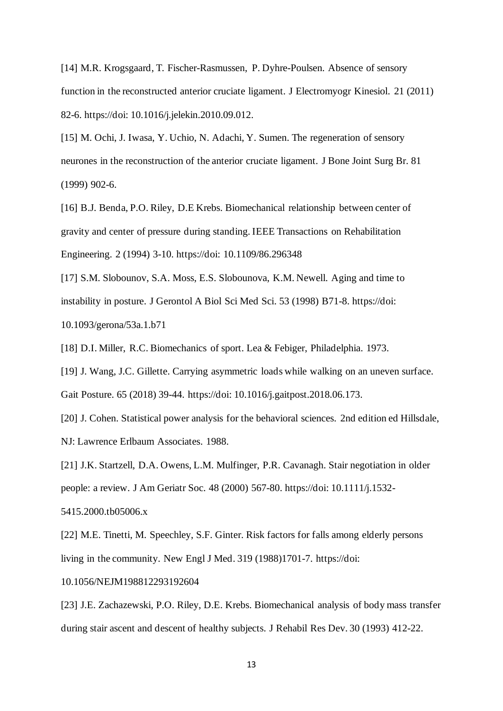[14] M.R. Krogsgaard, T. Fischer-Rasmussen, P. Dyhre-Poulsen. Absence of sensory function in the reconstructed anterior cruciate ligament. J Electromyogr Kinesiol. 21 (2011) 82-6. https://doi: 10.1016/j.jelekin.2010.09.012.

[15] M. Ochi, J. Iwasa, Y. Uchio, N. Adachi, Y. Sumen. The regeneration of sensory neurones in the reconstruction of the anterior cruciate ligament. J Bone Joint Surg Br. 81 (1999) 902-6.

[16] B.J. Benda, P.O. Riley, D.E Krebs. Biomechanical relationship between center of gravity and center of pressure during standing. IEEE Transactions on Rehabilitation Engineering. 2 (1994) 3-10. https://doi: 10.1109/86.296348

[17] S.M. Slobounov, S.A. Moss, E.S. Slobounova, K.M. Newell. Aging and time to instability in posture. J Gerontol A Biol Sci Med Sci. 53 (1998) B71-8. https://doi: 10.1093/gerona/53a.1.b71

[18] D.I. Miller, R.C. Biomechanics of sport. Lea & Febiger, Philadelphia. 1973.

[19] J. Wang, J.C. Gillette. Carrying asymmetric loads while walking on an uneven surface. Gait Posture. 65 (2018) 39-44. https://doi: 10.1016/j.gaitpost.2018.06.173.

[20] J. Cohen. Statistical power analysis for the behavioral sciences. 2nd edition ed Hillsdale, NJ: Lawrence Erlbaum Associates. 1988.

[21] J.K. Startzell, D.A. Owens, L.M. Mulfinger, P.R. Cavanagh. Stair negotiation in older people: a review. J Am Geriatr Soc. 48 (2000) 567-80. https://doi: 10.1111/j.1532- 5415.2000.tb05006.x

[22] M.E. Tinetti, M. Speechley, S.F. Ginter. Risk factors for falls among elderly persons living in the community. New Engl J Med. 319 (1988)1701-7. https://doi:

10.1056/NEJM198812293192604

[23] J.E. Zachazewski, P.O. Riley, D.E. Krebs. Biomechanical analysis of body mass transfer during stair ascent and descent of healthy subjects. J Rehabil Res Dev. 30 (1993) 412-22.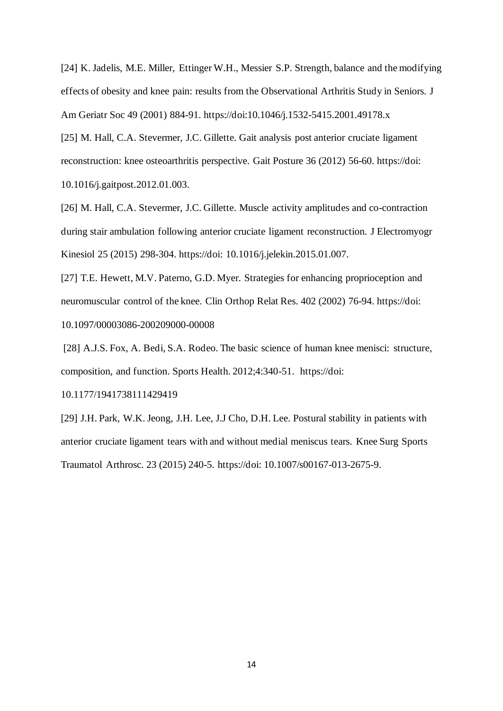[24] K. Jadelis, M.E. Miller, Ettinger W.H., Messier S.P. Strength, balance and the modifying effects of obesity and knee pain: results from the Observational Arthritis Study in Seniors. J Am Geriatr Soc 49 (2001) 884-91. https://doi:10.1046/j.1532-5415.2001.49178.x

[25] M. Hall, C.A. Stevermer, J.C. Gillette. Gait analysis post anterior cruciate ligament reconstruction: knee osteoarthritis perspective. Gait Posture 36 (2012) 56-60. https://doi: 10.1016/j.gaitpost.2012.01.003.

[26] M. Hall, C.A. Stevermer, J.C. Gillette. Muscle activity amplitudes and co-contraction during stair ambulation following anterior cruciate ligament reconstruction. J Electromyogr Kinesiol 25 (2015) 298-304. https://doi: 10.1016/j.jelekin.2015.01.007.

[27] T.E. Hewett, M.V. Paterno, G.D. Myer. Strategies for enhancing proprioception and neuromuscular control of the knee. Clin Orthop Relat Res. 402 (2002) 76-94. https://doi: 10.1097/00003086-200209000-00008

[28] A.J.S. Fox, A. Bedi, S.A. Rodeo. The basic science of human knee menisci: structure, composition, and function. Sports Health. 2012;4:340-51. https://doi:

10.1177/1941738111429419

[29] J.H. Park, W.K. Jeong, J.H. Lee, J.J Cho, D.H. Lee. Postural stability in patients with anterior cruciate ligament tears with and without medial meniscus tears. Knee Surg Sports Traumatol Arthrosc. 23 (2015) 240-5. https://doi: 10.1007/s00167-013-2675-9.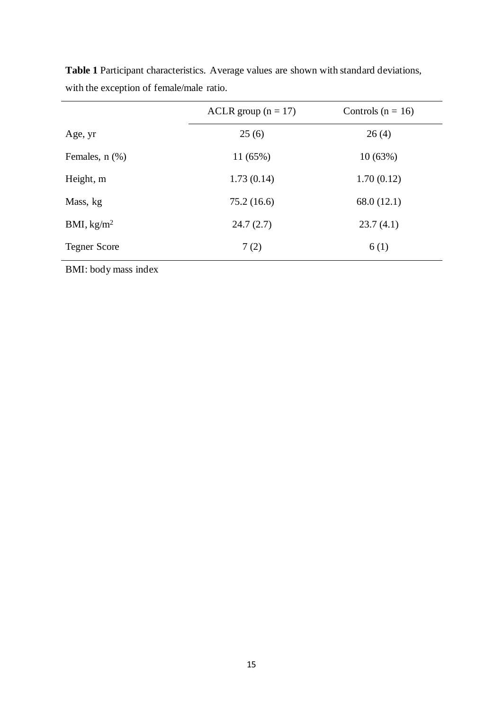|                        | ACLR group $(n = 17)$ | Controls ( $n = 16$ ) |  |
|------------------------|-----------------------|-----------------------|--|
| Age, yr                | 25(6)                 | 26(4)                 |  |
| Females, $n$ $(\%)$    | 11 (65%)              | 10(63%)               |  |
| Height, m              | 1.73(0.14)            | 1.70(0.12)            |  |
| Mass, kg               | 75.2(16.6)            | 68.0(12.1)            |  |
| BMI, kg/m <sup>2</sup> | 24.7(2.7)             | 23.7(4.1)             |  |
| <b>Tegner Score</b>    | 7(2)                  | 6(1)                  |  |

**Table 1** Participant characteristics. Average values are shown with standard deviations, with the exception of female/male ratio.

BMI: body mass index

l,